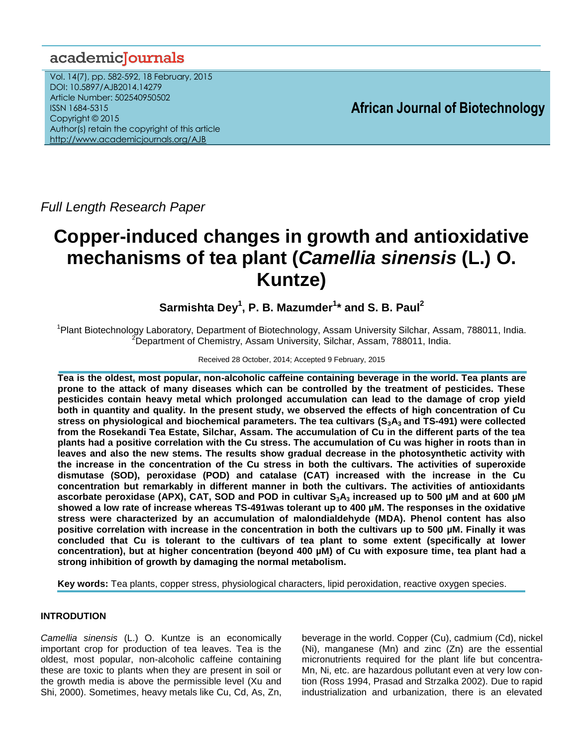# academiclournals

Vol. 14(7), pp. 582-592, 18 February, 2015 DOI: 10.5897/AJB2014.14279 Article Number: 502540950502 ISSN 1684-5315 Copyright © 2015 Author(s) retain the copyright of this article <http://www.academicjournals.org/AJB>

**African Journal of Biotechnology**

*Full Length Research Paper*

# **Copper-induced changes in growth and antioxidative mechanisms of tea plant (***Camellia sinensis* **(L.) O. Kuntze)**

**Sarmishta Dey<sup>1</sup> , P. B. Mazumder<sup>1</sup> \* and S. B. Paul<sup>2</sup>**

<sup>1</sup>Plant Biotechnology Laboratory, Department of Biotechnology, Assam University Silchar, Assam, 788011, India. <sup>2</sup>Department of Chemistry, Assam University, Silchar, Assam, 788011, India.

# Received 28 October, 2014; Accepted 9 February, 2015

**Tea is the oldest, most popular, non-alcoholic caffeine containing beverage in the world. Tea plants are prone to the attack of many diseases which can be controlled by the treatment of pesticides. These pesticides contain heavy metal which prolonged accumulation can lead to the damage of crop yield both in quantity and quality. In the present study, we observed the effects of high concentration of Cu stress on physiological and biochemical parameters. The tea cultivars (S3A3 and TS-491) were collected from the Rosekandi Tea Estate, Silchar, Assam. The accumulation of Cu in the different parts of the tea plants had a positive correlation with the Cu stress. The accumulation of Cu was higher in roots than in leaves and also the new stems. The results show gradual decrease in the photosynthetic activity with the increase in the concentration of the Cu stress in both the cultivars. The activities of superoxide dismutase (SOD), peroxidase (POD) and catalase (CAT) increased with the increase in the Cu concentration but remarkably in different manner in both the cultivars. The activities of antioxidants ascorbate peroxidase (APX), CAT, SOD and POD in cultivar S3A<sup>3</sup> increased up to 500 µM and at 600 µM showed a low rate of increase whereas TS-491was tolerant up to 400 µM. The responses in the oxidative stress were characterized by an accumulation of malondialdehyde (MDA). Phenol content has also positive correlation with increase in the concentration in both the cultivars up to 500 µM. Finally it was concluded that Cu is tolerant to the cultivars of tea plant to some extent (specifically at lower concentration), but at higher concentration (beyond 400 µM) of Cu with exposure time, tea plant had a strong inhibition of growth by damaging the normal metabolism.**

**Key words:** Tea plants, copper stress, physiological characters, lipid peroxidation, reactive oxygen species.

# **INTRODUTION**

*Camellia sinensis* (L.) O. Kuntze is an economically important crop for production of tea leaves. Tea is the oldest, most popular, non-alcoholic caffeine containing these are toxic to plants when they are present in soil or the growth media is above the permissible level (Xu and Shi, 2000). Sometimes, heavy metals like Cu, Cd, As, Zn, beverage in the world. Copper (Cu), cadmium (Cd), nickel (Ni), manganese (Mn) and zinc (Zn) are the essential micronutrients required for the plant life but concentra-Mn, Ni, etc. are hazardous pollutant even at very low contion (Ross 1994, Prasad and Strzalka 2002). Due to rapid industrialization and urbanization, there is an elevated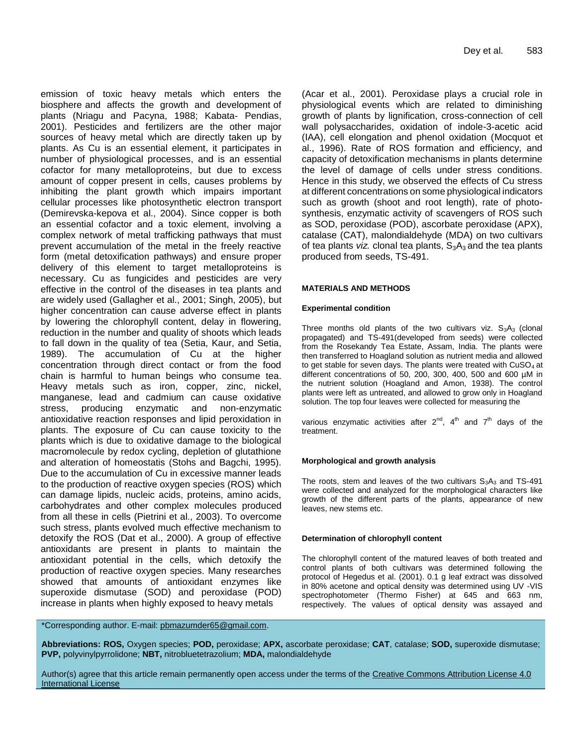emission of toxic heavy metals which enters the biosphere and affects the growth and development of plants (Nriagu and Pacyna, 1988; Kabata- Pendias, 2001). Pesticides and fertilizers are the other major sources of heavy metal which are directly taken up by plants. As Cu is an essential element, it participates in number of physiological processes, and is an essential cofactor for many metalloproteins, but due to excess amount of copper present in cells, causes problems by inhibiting the plant growth which impairs important cellular processes like photosynthetic electron transport (Demirevska-kepova et al., 2004). Since copper is both an essential cofactor and a toxic element, involving a complex network of metal trafficking pathways that must prevent accumulation of the metal in the freely reactive form (metal detoxification pathways) and ensure proper delivery of this element to target metalloproteins is necessary. Cu as fungicides and pesticides are very effective in the control of the diseases in tea plants and are widely used (Gallagher et al., 2001; Singh, 2005), but higher concentration can cause adverse effect in plants by lowering the chlorophyll content, delay in flowering, reduction in the number and quality of shoots which leads to fall down in the quality of tea (Setia, Kaur, and Setia, 1989). The accumulation of Cu at the higher concentration through direct contact or from the food chain is harmful to human beings who consume tea. Heavy metals such as iron, copper, zinc, nickel, manganese, lead and cadmium can cause oxidative stress, producing enzymatic and non-enzymatic antioxidative reaction responses and lipid peroxidation in plants. The exposure of Cu can cause toxicity to the plants which is due to oxidative damage to the biological macromolecule by redox cycling, depletion of glutathione and alteration of homeostatis (Stohs and Bagchi, 1995). Due to the accumulation of Cu in excessive manner leads to the production of reactive oxygen species (ROS) which can damage lipids, nucleic acids, proteins, amino acids, carbohydrates and other complex molecules produced from all these in cells (Pietrini et al., 2003). To overcome such stress, plants evolved much effective mechanism to detoxify the ROS (Dat et al., 2000). A group of effective antioxidants are present in plants to maintain the antioxidant potential in the cells, which detoxify the production of reactive oxygen species. Many researches showed that amounts of antioxidant enzymes like superoxide dismutase (SOD) and peroxidase (POD) increase in plants when highly exposed to heavy metals

(Acar et al., 2001). Peroxidase plays a crucial role in physiological events which are related to diminishing growth of plants by lignification, cross-connection of cell wall polysaccharides, oxidation of indole-3-acetic acid (IAA), cell elongation and phenol oxidation (Mocquot et al., 1996). Rate of ROS formation and efficiency, and capacity of detoxification mechanisms in plants determine the level of damage of cells under stress conditions. Hence in this study, we observed the effects of Cu stress at different concentrations on some physiological indicators such as growth (shoot and root length), rate of photosynthesis, enzymatic activity of scavengers of ROS such as SOD, peroxidase (POD), ascorbate peroxidase (APX), catalase (CAT), malondialdehyde (MDA) on two cultivars of tea plants *viz.* clonal tea plants,  $S_3A_3$  and the tea plants produced from seeds, TS-491.

#### **MATERIALS AND METHODS**

#### **Experimental condition**

Three months old plants of the two cultivars viz.  $S_3A_3$  (clonal propagated) and TS-491(developed from seeds) were collected from the Rosekandy Tea Estate, Assam, India. The plants were then transferred to Hoagland solution as nutrient media and allowed to get stable for seven days. The plants were treated with  $CuSO<sub>4</sub>$  at different concentrations of 50, 200, 300, 400, 500 and 600 µM in the nutrient solution (Hoagland and Amon, 1938). The control plants were left as untreated, and allowed to grow only in Hoagland solution. The top four leaves were collected for measuring the

various enzymatic activities after  $2^{nd}$ ,  $4^{th}$  and  $7^{th}$  days of the treatment.

#### **Morphological and growth analysis**

The roots, stem and leaves of the two cultivars  $S_3A_3$  and TS-491 were collected and analyzed for the morphological characters like growth of the different parts of the plants, appearance of new leaves, new stems etc.

#### **Determination of chlorophyll content**

The chlorophyll content of the matured leaves of both treated and control plants of both cultivars was determined following the protocol of Hegedus et al. (2001). 0.1 g leaf extract was dissolved in 80% acetone and optical density was determined using UV -VIS spectrophotometer (Thermo Fisher) at 645 and 663 nm, respectively. The values of optical density was assayed and

\*Corresponding author. E-mail: [pbmazumder65@gmail.com.](mailto:pbmazumder65@gmail.com)

**Abbreviations: ROS,** Oxygen species; **POD,** peroxidase; **APX,** ascorbate peroxidase; **CAT**, catalase; **SOD,** superoxide dismutase; **PVP,** polyvinylpyrrolidone; **NBT,** nitrobluetetrazolium; **MDA,** malondialdehyde

Author(s) agree that this article remain permanently open access under the terms of the Creative Commons Attribution License 4.0 [International License](http://creativecommons.org/licenses/by/4.0/deed.en_US)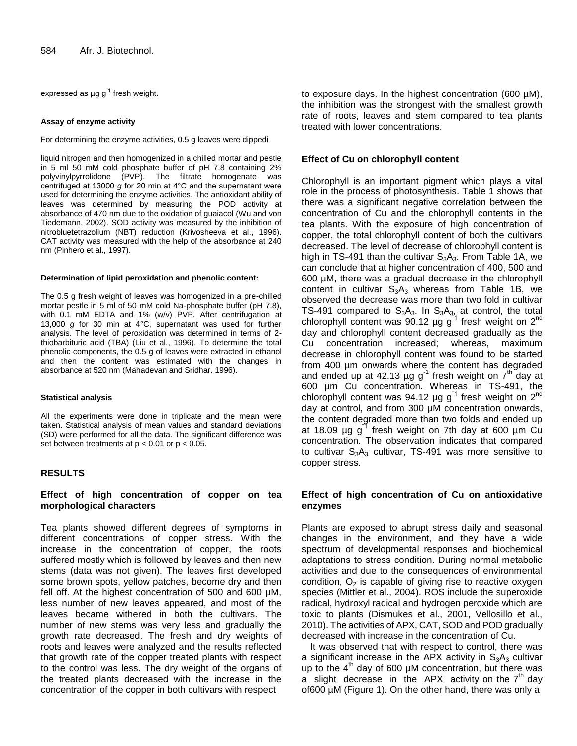expressed as  $\mu$ g g<sup>-1</sup> fresh weight.

#### **Assay of enzyme activity**

For determining the enzyme activities, 0.5 g leaves were dippedi

liquid nitrogen and then homogenized in a chilled mortar and pestle in 5 ml 50 mM cold phosphate buffer of pH 7.8 containing 2% polyvinylpyrrolidone (PVP). The filtrate homogenate was centrifuged at 13000 *g* for 20 min at 4°C and the supernatant were used for determining the enzyme activities. The antioxidant ability of leaves was determined by measuring the POD activity at absorbance of 470 nm due to the oxidation of guaiacol (Wu and von Tiedemann, 2002). SOD activity was measured by the inhibition of nitrobluetetrazolium (NBT) reduction (Krivosheeva et al., 1996). CAT activity was measured with the help of the absorbance at 240 nm (Pinhero et al., 1997).

#### **Determination of lipid peroxidation and phenolic content:**

The 0.5 g fresh weight of leaves was homogenized in a pre-chilled mortar pestle in 5 ml of 50 mM cold Na-phosphate buffer (pH 7.8), with 0.1 mM EDTA and 1% (w/v) PVP. After centrifugation at 13,000 *g* for 30 min at 4°C, supernatant was used for further analysis. The level of peroxidation was determined in terms of 2 thiobarbituric acid (TBA) (Liu et al., 1996). To determine the total phenolic components, the 0.5 g of leaves were extracted in ethanol and then the content was estimated with the changes in absorbance at 520 nm (Mahadevan and Sridhar, 1996).

#### **Statistical analysis**

All the experiments were done in triplicate and the mean were taken. Statistical analysis of mean values and standard deviations (SD) were performed for all the data. The significant difference was set between treatments at  $p < 0.01$  or  $p < 0.05$ .

# **RESULTS**

# **Effect of high concentration of copper on tea morphological characters**

Tea plants showed different degrees of symptoms in different concentrations of copper stress. With the increase in the concentration of copper, the roots suffered mostly which is followed by leaves and then new stems (data was not given). The leaves first developed some brown spots, yellow patches, become dry and then fell off. At the highest concentration of 500 and 600 µM, less number of new leaves appeared, and most of the leaves became withered in both the cultivars. The number of new stems was very less and gradually the growth rate decreased. The fresh and dry weights of roots and leaves were analyzed and the results reflected that growth rate of the copper treated plants with respect to the control was less. The dry weight of the organs of the treated plants decreased with the increase in the concentration of the copper in both cultivars with respect

to exposure days. In the highest concentration (600 µM), the inhibition was the strongest with the smallest growth rate of roots, leaves and stem compared to tea plants treated with lower concentrations.

# **Effect of Cu on chlorophyll content**

Chlorophyll is an important pigment which plays a vital role in the process of photosynthesis. Table 1 shows that there was a significant negative correlation between the concentration of Cu and the chlorophyll contents in the tea plants. With the exposure of high concentration of copper, the total chlorophyll content of both the cultivars decreased. The level of decrease of chlorophyll content is high in TS-491 than the cultivar  $S_3A_3$ . From Table 1A, we can conclude that at higher concentration of 400, 500 and 600 µM, there was a gradual decrease in the chlorophyll content in cultivar  $S_3A_3$  whereas from Table 1B, we observed the decrease was more than two fold in cultivar TS-491 compared to  $S_3A_3$ . In  $S_3A_{3}$ , at control, the total chlorophyll content was 90.12  $\mu$ g g<sup>1</sup> fresh weight on 2<sup>nd</sup> day and chlorophyll content decreased gradually as the Cu concentration increased; whereas, maximum decrease in chlorophyll content was found to be started from 400 µm onwards where the content has degraded and ended up at 42.13 µg g<sup>-1</sup> fresh weight on  $7<sup>th</sup>$  day at 600 µm Cu concentration. Whereas in TS-491, the chlorophyll content was 94.12 µg  $g^{-1}$  fresh weight on 2<sup>nd</sup> day at control, and from 300 µM concentration onwards, the content degraded more than two folds and ended up at 18.09 µg g<sup>1</sup> fresh weight on 7th day at 600 µm Cu concentration. The observation indicates that compared to cultivar  $S_3A_3$  cultivar, TS-491 was more sensitive to copper stress.

# **Effect of high concentration of Cu on antioxidative enzymes**

Plants are exposed to abrupt stress daily and seasonal changes in the environment, and they have a wide spectrum of developmental responses and biochemical adaptations to stress condition. During normal metabolic activities and due to the consequences of environmental condition,  $O<sub>2</sub>$  is capable of giving rise to reactive oxygen species (Mittler et al., 2004). ROS include the superoxide radical, hydroxyl radical and hydrogen peroxide which are toxic to plants (Dismukes et al., 2001, Vellosillo et al., 2010). The activities of APX, CAT, SOD and POD gradually decreased with increase in the concentration of Cu.

It was observed that with respect to control, there was a significant increase in the APX activity in  $S_3A_3$  cultivar up to the  $4<sup>th</sup>$  day of 600 µM concentration, but there was a slight decrease in the APX activity on the  $7<sup>th</sup>$  day of600 µM (Figure 1). On the other hand, there was only a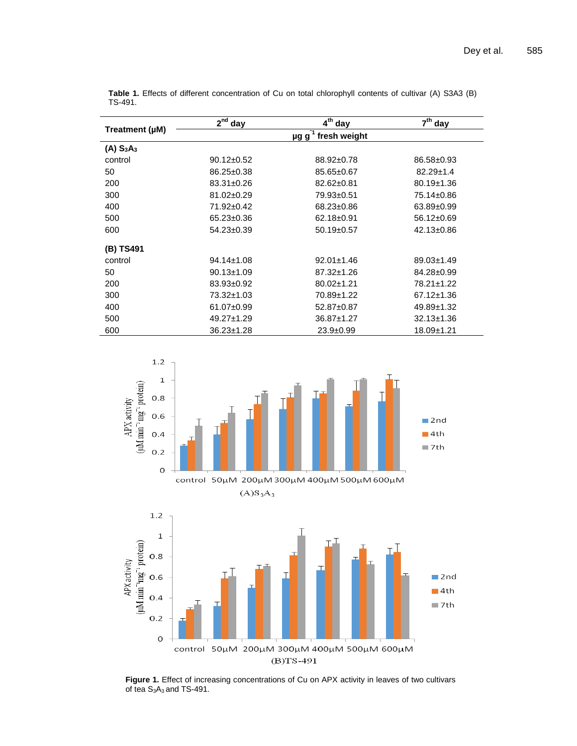| Treatment (µM) | $2nd$ day        | $4th$ day                               | $7th$ day        |
|----------------|------------------|-----------------------------------------|------------------|
|                |                  | $\mu$ g g <sup>-1</sup><br>fresh weight |                  |
| $(A)$ $S_3A_3$ |                  |                                         |                  |
| control        | $90.12 \pm 0.52$ | 88.92±0.78                              | 86.58±0.93       |
| 50             | $86.25 \pm 0.38$ | $85.65 \pm 0.67$                        | $82.29 \pm 1.4$  |
| 200            | $83.31 \pm 0.26$ | $82.62 \pm 0.81$                        | $80.19 \pm 1.36$ |
| 300            | 81.02±0.29       | 79.93±0.51                              | 75.14±0.86       |
| 400            | 71.92±0.42       | 68.23±0.86                              | 63.89±0.99       |
| 500            | $65.23 \pm 0.36$ | 62.18±0.91                              | 56.12±0.69       |
| 600            | 54.23±0.39       | $50.19 \pm 0.57$                        | 42.13±0.86       |
| (B) TS491      |                  |                                         |                  |
| control        | $94.14 \pm 1.08$ | $92.01 \pm 1.46$                        | 89.03±1.49       |
| 50             | $90.13 \pm 1.09$ | 87.32±1.26                              | 84.28±0.99       |
| 200            | 83.93±0.92       | 80.02±1.21                              | 78.21±1.22       |
| 300            | 73.32±1.03       | 70.89±1.22                              | 67.12±1.36       |
| 400            | 61.07±0.99       | 52.87±0.87                              | 49.89±1.32       |
| 500            | 49.27±1.29       | 36.87±1.27                              | $32.13 \pm 1.36$ |
| 600            | $36.23 \pm 1.28$ | $23.9 + 0.99$                           | 18.09±1.21       |

**Table 1.** Effects of different concentration of Cu on total chlorophyll contents of cultivar (A) S3A3 (B) TS-491.



Figure 1. Effect of increasing concentrations of Cu on APX activity in leaves of two cultivars of tea  $S_3A_3$  and TS-491.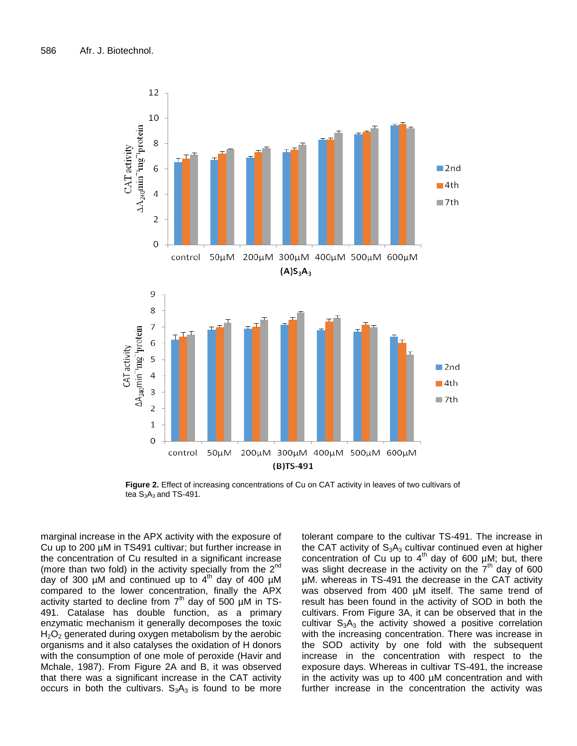

**Figure 2.** Effect of increasing concentrations of Cu on CAT activity in leaves of two cultivars of tea  $S_3A_3$  and TS-491.

marginal increase in the APX activity with the exposure of Cu up to 200 µM in TS491 cultivar; but further increase in the concentration of Cu resulted in a significant increase (more than two fold) in the activity specially from the  $2<sup>nd</sup>$ day of 300  $\mu$ M and continued up to  $4^{\text{th}}$  day of 400  $\mu$ M compared to the lower concentration, finally the APX activity started to decline from  $7<sup>th</sup>$  day of 500  $\mu$ M in TS-491. Catalase has double function, as a primary enzymatic mechanism it generally decomposes the toxic  $H<sub>2</sub>O<sub>2</sub>$  generated during oxygen metabolism by the aerobic organisms and it also catalyses the oxidation of H donors with the consumption of one mole of peroxide (Havir and Mchale, 1987). From Figure 2A and B, it was observed that there was a significant increase in the CAT activity occurs in both the cultivars.  $S_3A_3$  is found to be more

tolerant compare to the cultivar TS-491. The increase in the CAT activity of  $S_3A_3$  cultivar continued even at higher concentration of Cu up to  $4<sup>th</sup>$  day of 600 µM; but, there was slight decrease in the activity on the  $7<sup>th</sup>$  day of 600 µM. whereas in TS-491 the decrease in the CAT activity was observed from 400 µM itself. The same trend of result has been found in the activity of SOD in both the cultivars. From Figure 3A, it can be observed that in the cultivar  $S_3A_3$  the activity showed a positive correlation with the increasing concentration. There was increase in the SOD activity by one fold with the subsequent increase in the concentration with respect to the exposure days. Whereas in cultivar TS-491, the increase in the activity was up to 400 µM concentration and with further increase in the concentration the activity was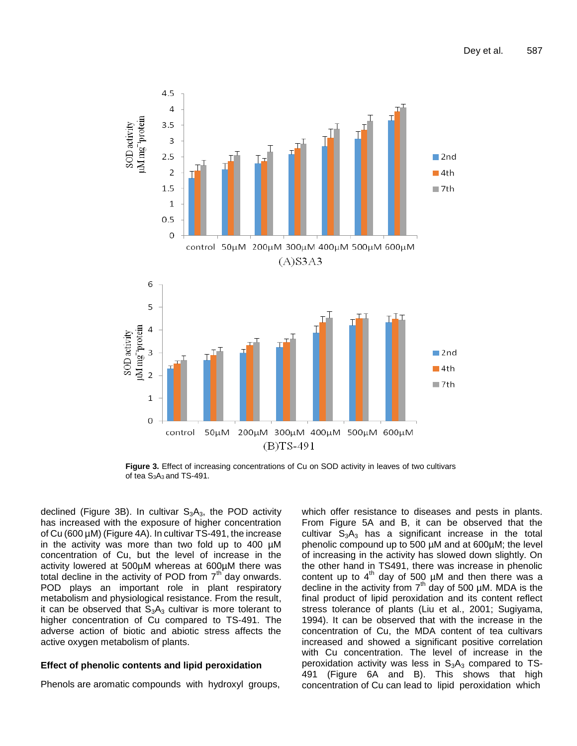

**Figure 3.** Effect of increasing concentrations of Cu on SOD activity in leaves of two cultivars of tea S<sub>3</sub>A<sub>3</sub> and TS-491.

declined (Figure 3B). In cultivar  $S_3A_3$ , the POD activity has increased with the exposure of higher concentration of Cu (600 µM) (Figure 4A). In cultivar TS-491, the increase in the activity was more than two fold up to 400 µM concentration of Cu, but the level of increase in the activity lowered at 500µM whereas at 600µM there was total decline in the activity of POD from  $7<sup>th</sup>$  day onwards. POD plays an important role in plant respiratory metabolism and physiological resistance. From the result, it can be observed that  $S_3A_3$  cultivar is more tolerant to higher concentration of Cu compared to TS-491. The adverse action of biotic and abiotic stress affects the active oxygen metabolism of plants.

# **Effect of phenolic contents and lipid peroxidation**

Phenols are aromatic compounds with hydroxyl groups,

which offer resistance to diseases and pests in plants. From Figure 5A and B, it can be observed that the cultivar  $S_3A_3$  has a significant increase in the total phenolic compound up to 500 µM and at 600µM; the level of increasing in the activity has slowed down slightly. On the other hand in TS491, there was increase in phenolic content up to  $4<sup>th</sup>$  day of 500  $\mu$ M and then there was a decline in the activity from  $7<sup>th</sup>$  day of 500 µM. MDA is the final product of lipid peroxidation and its content reflect stress tolerance of plants (Liu et al., 2001; Sugiyama, 1994). It can be observed that with the increase in the concentration of Cu, the MDA content of tea cultivars increased and showed a significant positive correlation with Cu concentration. The level of increase in the peroxidation activity was less in  $S_3A_3$  compared to TS-491 (Figure 6A and B). This shows that high concentration of Cu can lead to lipid peroxidation which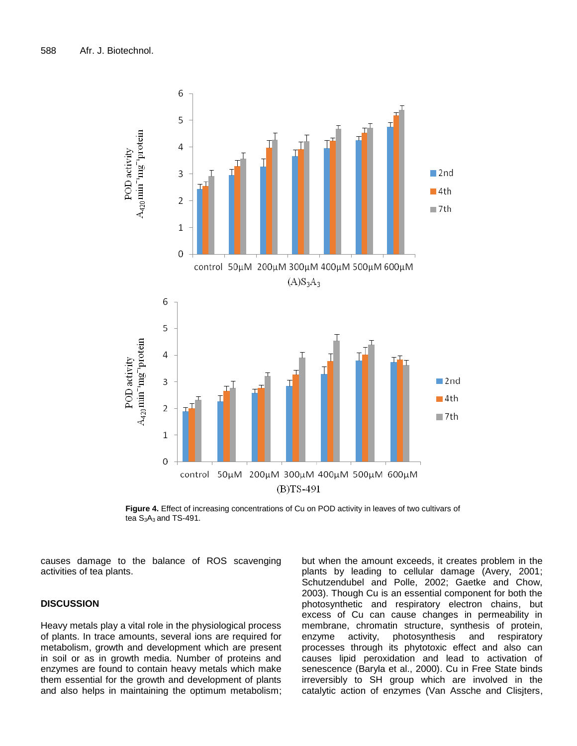

**Figure 4.** Effect of increasing concentrations of Cu on POD activity in leaves of two cultivars of tea  $S_3A_3$  and TS-491.

causes damage to the balance of ROS scavenging activities of tea plants.

# **DISCUSSION**

Heavy metals play a vital role in the physiological process of plants. In trace amounts, several ions are required for metabolism, growth and development which are present in soil or as in growth media. Number of proteins and enzymes are found to contain heavy metals which make them essential for the growth and development of plants and also helps in maintaining the optimum metabolism; but when the amount exceeds, it creates problem in the plants by leading to cellular damage (Avery, 2001; Schutzendubel and Polle, 2002; Gaetke and Chow, 2003). Though Cu is an essential component for both the photosynthetic and respiratory electron chains, but excess of Cu can cause changes in permeability in membrane, chromatin structure, synthesis of protein, enzyme activity, photosynthesis and respiratory processes through its phytotoxic effect and also can causes lipid peroxidation and lead to activation of senescence (Baryla et al., 2000). Cu in Free State binds irreversibly to SH group which are involved in the catalytic action of enzymes (Van Assche and Clisjters,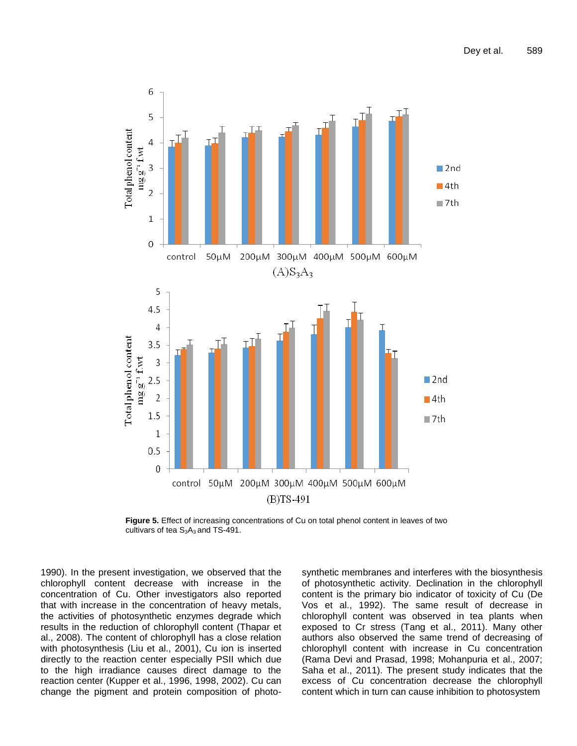

**Figure 5.** Effect of increasing concentrations of Cu on total phenol content in leaves of two cultivars of tea  $S_3A_3$  and TS-491.

1990). In the present investigation, we observed that the chlorophyll content decrease with increase in the concentration of Cu. Other investigators also reported that with increase in the concentration of heavy metals, the activities of photosynthetic enzymes degrade which results in the reduction of chlorophyll content (Thapar et al., 2008). The content of chlorophyll has a close relation with photosynthesis (Liu et al., 2001), Cu ion is inserted directly to the reaction center especially PSII which due to the high irradiance causes direct damage to the reaction center (Kupper et al., 1996, 1998, 2002). Cu can change the pigment and protein composition of photosynthetic membranes and interferes with the biosynthesis of photosynthetic activity. Declination in the chlorophyll content is the primary bio indicator of toxicity of Cu (De Vos et al., 1992). The same result of decrease in chlorophyll content was observed in tea plants when exposed to Cr stress (Tang et al., 2011). Many other authors also observed the same trend of decreasing of chlorophyll content with increase in Cu concentration (Rama Devi and Prasad, 1998; Mohanpuria et al., 2007; Saha et al., 2011). The present study indicates that the excess of Cu concentration decrease the chlorophyll content which in turn can cause inhibition to photosystem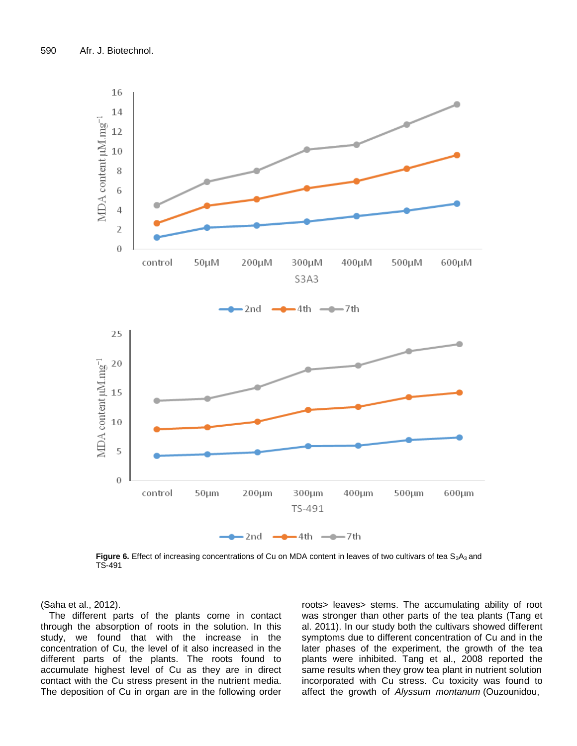

**Figure 6.** Effect of increasing concentrations of Cu on MDA content in leaves of two cultivars of tea S<sub>3</sub>A<sub>3</sub> and TS-491

(Saha et al., 2012).

The different parts of the plants come in contact through the absorption of roots in the solution. In this study, we found that with the increase in the concentration of Cu, the level of it also increased in the different parts of the plants. The roots found to accumulate highest level of Cu as they are in direct contact with the Cu stress present in the nutrient media. The deposition of Cu in organ are in the following order

roots> leaves> stems. The accumulating ability of root was stronger than other parts of the tea plants (Tang et al. 2011). In our study both the cultivars showed different symptoms due to different concentration of Cu and in the later phases of the experiment, the growth of the tea plants were inhibited. Tang et al., 2008 reported the same results when they grow tea plant in nutrient solution incorporated with Cu stress. Cu toxicity was found to affect the growth of *Alyssum montanum* (Ouzounidou,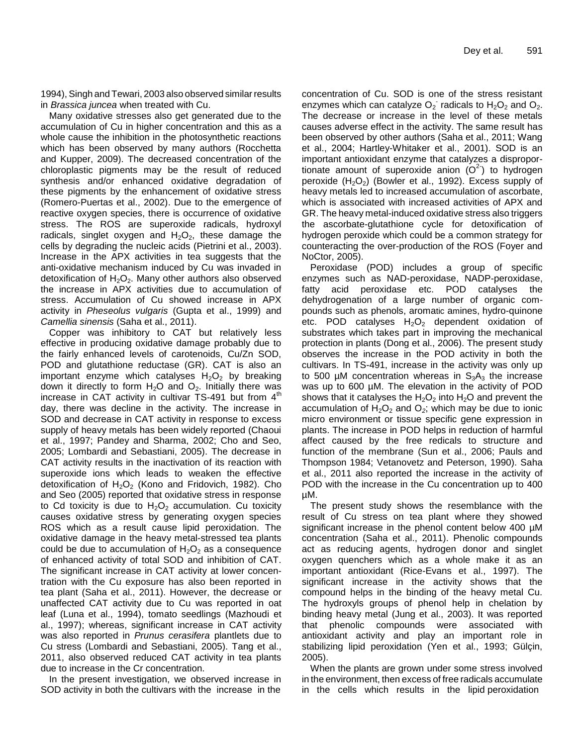1994), Singh and Tewari, 2003 also observed similar results in *Brassica juncea* when treated with Cu.

Many oxidative stresses also get generated due to the accumulation of Cu in higher concentration and this as a whole cause the inhibition in the photosynthetic reactions which has been observed by many authors (Rocchetta and Kupper, 2009). The decreased concentration of the chloroplastic pigments may be the result of reduced synthesis and/or enhanced oxidative degradation of these pigments by the enhancement of oxidative stress (Romero-Puertas et al., 2002). Due to the emergence of reactive oxygen species, there is occurrence of oxidative stress. The ROS are superoxide radicals, hydroxyl radicals, singlet oxygen and  $H_2O_2$ , these damage the cells by degrading the nucleic acids (Pietrini et al., 2003). Increase in the APX activities in tea suggests that the anti-oxidative mechanism induced by Cu was invaded in detoxification of  $H_2O_2$ . Many other authors also observed the increase in APX activities due to accumulation of stress. Accumulation of Cu showed increase in APX activity in *Pheseolus vulgaris* (Gupta et al., 1999) and *Camellia sinensis* (Saha et al., 2011).

Copper was inhibitory to CAT but relatively less effective in producing oxidative damage probably due to the fairly enhanced levels of carotenoids, Cu/Zn SOD, POD and glutathione reductase (GR). CAT is also an important enzyme which catalyses  $H_2O_2$  by breaking down it directly to form  $H_2O$  and  $O_2$ . Initially there was increase in CAT activity in cultivar TS-491 but from  $4<sup>th</sup>$ day, there was decline in the activity. The increase in SOD and decrease in CAT activity in response to excess supply of heavy metals has been widely reported (Chaoui et al., 1997; Pandey and Sharma, 2002; Cho and Seo, 2005; Lombardi and Sebastiani, 2005). The decrease in CAT activity results in the inactivation of its reaction with superoxide ions which leads to weaken the effective detoxification of  $H_2O_2$  (Kono and Fridovich, 1982). Cho and Seo (2005) reported that oxidative stress in response to Cd toxicity is due to  $H_2O_2$  accumulation. Cu toxicity causes oxidative stress by generating oxygen species ROS which as a result cause lipid peroxidation. The oxidative damage in the heavy metal-stressed tea plants could be due to accumulation of  $H_2O_2$  as a consequence of enhanced activity of total SOD and inhibition of CAT. The significant increase in CAT activity at lower concentration with the Cu exposure has also been reported in tea plant (Saha et al., 2011). However, the decrease or unaffected CAT activity due to Cu was reported in oat leaf (Luna et al., 1994), tomato seedlings (Mazhoudi et al., 1997); whereas, significant increase in CAT activity was also reported in *Prunus cerasifera* plantlets due to Cu stress (Lombardi and Sebastiani, 2005). Tang et al., 2011, also observed reduced CAT activity in tea plants due to increase in the Cr concentration.

In the present investigation, we observed increase in SOD activity in both the cultivars with the increase in the

concentration of Cu. SOD is one of the stress resistant enzymes which can catalyze  $O_2$  radicals to  $H_2O_2$  and  $O_2$ . The decrease or increase in the level of these metals causes adverse effect in the activity. The same result has been observed by other authors (Saha et al., 2011; Wang et al., 2004; Hartley-Whitaker et al., 2001). SOD is an important antioxidant enzyme that catalyzes a disproportionate amount of superoxide anion  $(O<sup>2</sup>)$  to hydrogen peroxide  $(H_2O_2)$  (Bowler et al., 1992). Excess supply of heavy metals led to increased accumulation of ascorbate, which is associated with increased activities of APX and GR. The heavy metal-induced oxidative stress also triggers the ascorbate-glutathione cycle for detoxification of hydrogen peroxide which could be a common strategy for counteracting the over-production of the ROS (Foyer and NoCtor, 2005).

Peroxidase (POD) includes a group of specific enzymes such as NAD-peroxidase, NADP-peroxidase, fatty acid peroxidase etc. POD catalyses the dehydrogenation of a large number of organic compounds such as phenols, aromatic amines, hydro-quinone etc. POD catalyses  $H_2O_2$  dependent oxidation of substrates which takes part in improving the mechanical protection in plants (Dong et al., 2006). The present study observes the increase in the POD activity in both the cultivars. In TS-491, increase in the activity was only up to 500  $\mu$ M concentration whereas in  $S_3A_3$  the increase was up to 600 µM. The elevation in the activity of POD shows that it catalyses the  $H_2O_2$  into  $H_2O$  and prevent the accumulation of  $H_2O_2$  and  $O_2$ ; which may be due to ionic micro environment or tissue specific gene expression in plants. The increase in POD helps in reduction of harmful affect caused by the free redicals to structure and function of the membrane (Sun et al., 2006; Pauls and Thompson 1984; Vetanovetz and Peterson, 1990). Saha et al., 2011 also reported the increase in the activity of POD with the increase in the Cu concentration up to 400 µM.

The present study shows the resemblance with the result of Cu stress on tea plant where they showed significant increase in the phenol content below 400 µM concentration (Saha et al., 2011). Phenolic compounds act as reducing agents, hydrogen donor and singlet oxygen quenchers which as a whole make it as an important antioxidant (Rice-Evans et al., 1997). The significant increase in the activity shows that the compound helps in the binding of the heavy metal Cu. The hydroxyls groups of phenol help in chelation by binding heavy metal (Jung et al., 2003). It was reported that phenolic compounds were associated with antioxidant activity and play an important role in stabilizing lipid peroxidation (Yen et al., 1993; Gülçin, 2005).

When the plants are grown under some stress involved in the environment, then excess of free radicals accumulate in the cells which results in the lipid peroxidation